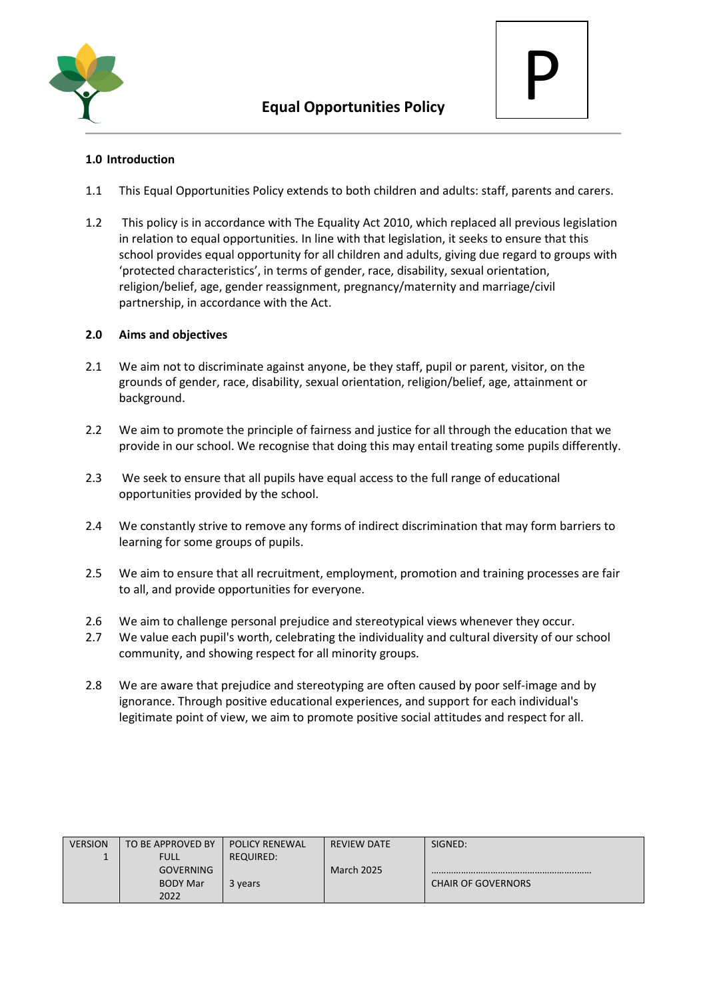



# **1.0 Introduction**

- 1.1 This Equal Opportunities Policy extends to both children and adults: staff, parents and carers.
- 1.2 This policy is in accordance with The Equality Act 2010, which replaced all previous legislation in relation to equal opportunities. In line with that legislation, it seeks to ensure that this school provides equal opportunity for all children and adults, giving due regard to groups with 'protected characteristics', in terms of gender, race, disability, sexual orientation, religion/belief, age, gender reassignment, pregnancy/maternity and marriage/civil partnership, in accordance with the Act.

# **2.0 Aims and objectives**

- 2.1 We aim not to discriminate against anyone, be they staff, pupil or parent, visitor, on the grounds of gender, race, disability, sexual orientation, religion/belief, age, attainment or background.
- 2.2 We aim to promote the principle of fairness and justice for all through the education that we provide in our school. We recognise that doing this may entail treating some pupils differently.
- 2.3 We seek to ensure that all pupils have equal access to the full range of educational opportunities provided by the school.
- 2.4 We constantly strive to remove any forms of indirect discrimination that may form barriers to learning for some groups of pupils.
- 2.5 We aim to ensure that all recruitment, employment, promotion and training processes are fair to all, and provide opportunities for everyone.
- 2.6 We aim to challenge personal prejudice and stereotypical views whenever they occur.
- 2.7 We value each pupil's worth, celebrating the individuality and cultural diversity of our school community, and showing respect for all minority groups.
- 2.8 We are aware that prejudice and stereotyping are often caused by poor self-image and by ignorance. Through positive educational experiences, and support for each individual's legitimate point of view, we aim to promote positive social attitudes and respect for all.

| <b>VERSION</b> | TO BE APPROVED BY | <b>POLICY RENEWAL</b> | <b>REVIEW DATE</b> | SIGNED:                   |
|----------------|-------------------|-----------------------|--------------------|---------------------------|
|                | <b>FULL</b>       | REQUIRED:             |                    |                           |
|                | <b>GOVERNING</b>  |                       | <b>March 2025</b>  |                           |
|                | <b>BODY Mar</b>   | 3 years               |                    | <b>CHAIR OF GOVERNORS</b> |
|                | 2022              |                       |                    |                           |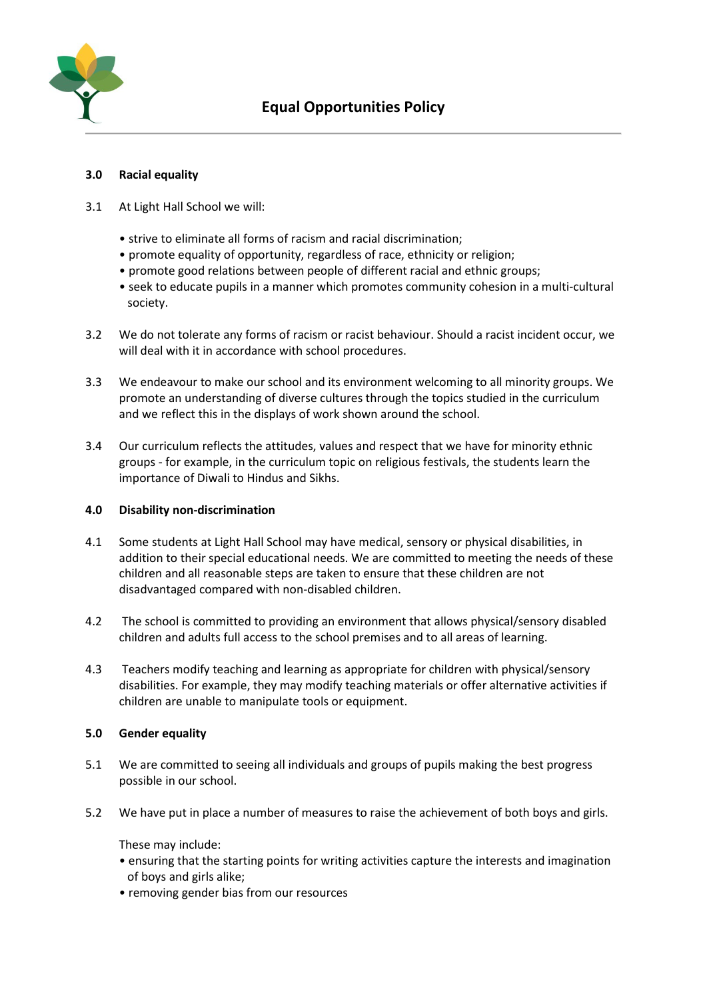

### **3.0 Racial equality**

- 3.1 At Light Hall School we will:
	- strive to eliminate all forms of racism and racial discrimination;
	- promote equality of opportunity, regardless of race, ethnicity or religion;
	- promote good relations between people of different racial and ethnic groups;
	- seek to educate pupils in a manner which promotes community cohesion in a multi-cultural society.
- 3.2 We do not tolerate any forms of racism or racist behaviour. Should a racist incident occur, we will deal with it in accordance with school procedures.
- 3.3 We endeavour to make our school and its environment welcoming to all minority groups. We promote an understanding of diverse cultures through the topics studied in the curriculum and we reflect this in the displays of work shown around the school.
- 3.4 Our curriculum reflects the attitudes, values and respect that we have for minority ethnic groups - for example, in the curriculum topic on religious festivals, the students learn the importance of Diwali to Hindus and Sikhs.

#### **4.0 Disability non-discrimination**

- 4.1 Some students at Light Hall School may have medical, sensory or physical disabilities, in addition to their special educational needs. We are committed to meeting the needs of these children and all reasonable steps are taken to ensure that these children are not disadvantaged compared with non-disabled children.
- 4.2 The school is committed to providing an environment that allows physical/sensory disabled children and adults full access to the school premises and to all areas of learning.
- 4.3 Teachers modify teaching and learning as appropriate for children with physical/sensory disabilities. For example, they may modify teaching materials or offer alternative activities if children are unable to manipulate tools or equipment.

#### **5.0 Gender equality**

- 5.1 We are committed to seeing all individuals and groups of pupils making the best progress possible in our school.
- 5.2 We have put in place a number of measures to raise the achievement of both boys and girls.

These may include:

- ensuring that the starting points for writing activities capture the interests and imagination of boys and girls alike;
- removing gender bias from our resources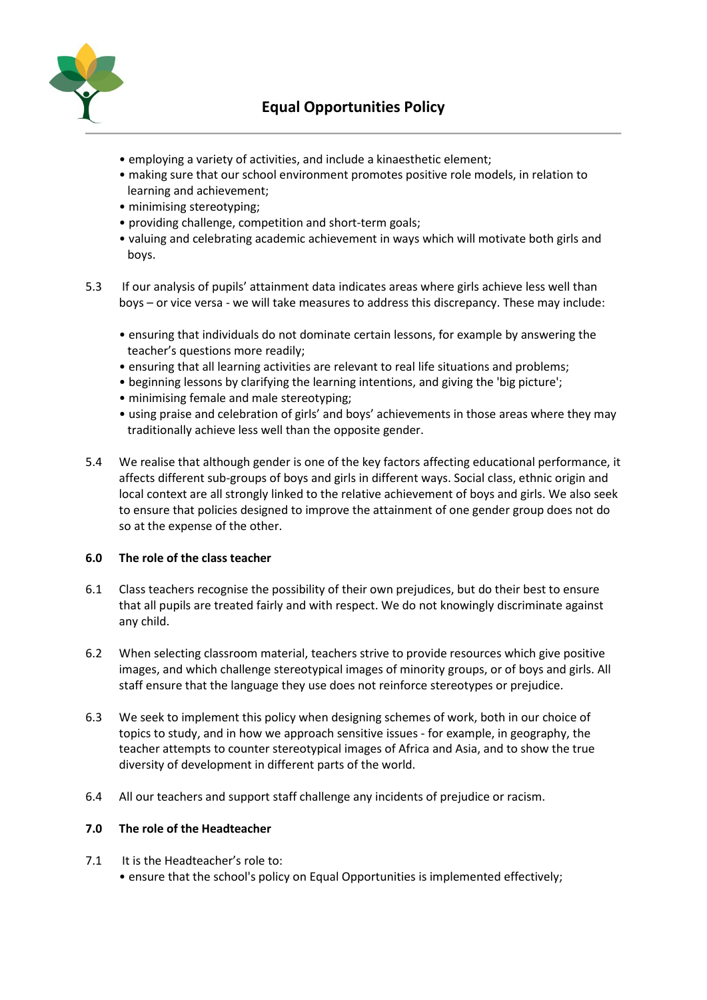

- employing a variety of activities, and include a kinaesthetic element;
- making sure that our school environment promotes positive role models, in relation to learning and achievement;
- minimising stereotyping;
- providing challenge, competition and short-term goals;
- valuing and celebrating academic achievement in ways which will motivate both girls and boys.
- 5.3 If our analysis of pupils' attainment data indicates areas where girls achieve less well than boys – or vice versa - we will take measures to address this discrepancy. These may include:
	- ensuring that individuals do not dominate certain lessons, for example by answering the teacher's questions more readily;
	- ensuring that all learning activities are relevant to real life situations and problems;
	- beginning lessons by clarifying the learning intentions, and giving the 'big picture';
	- minimising female and male stereotyping;
	- using praise and celebration of girls' and boys' achievements in those areas where they may traditionally achieve less well than the opposite gender.
- 5.4 We realise that although gender is one of the key factors affecting educational performance, it affects different sub-groups of boys and girls in different ways. Social class, ethnic origin and local context are all strongly linked to the relative achievement of boys and girls. We also seek to ensure that policies designed to improve the attainment of one gender group does not do so at the expense of the other.

#### **6.0 The role of the class teacher**

- 6.1 Class teachers recognise the possibility of their own prejudices, but do their best to ensure that all pupils are treated fairly and with respect. We do not knowingly discriminate against any child.
- 6.2 When selecting classroom material, teachers strive to provide resources which give positive images, and which challenge stereotypical images of minority groups, or of boys and girls. All staff ensure that the language they use does not reinforce stereotypes or prejudice.
- 6.3 We seek to implement this policy when designing schemes of work, both in our choice of topics to study, and in how we approach sensitive issues - for example, in geography, the teacher attempts to counter stereotypical images of Africa and Asia, and to show the true diversity of development in different parts of the world.
- 6.4 All our teachers and support staff challenge any incidents of prejudice or racism.

#### **7.0 The role of the Headteacher**

- 7.1 It is the Headteacher's role to:
	- ensure that the school's policy on Equal Opportunities is implemented effectively;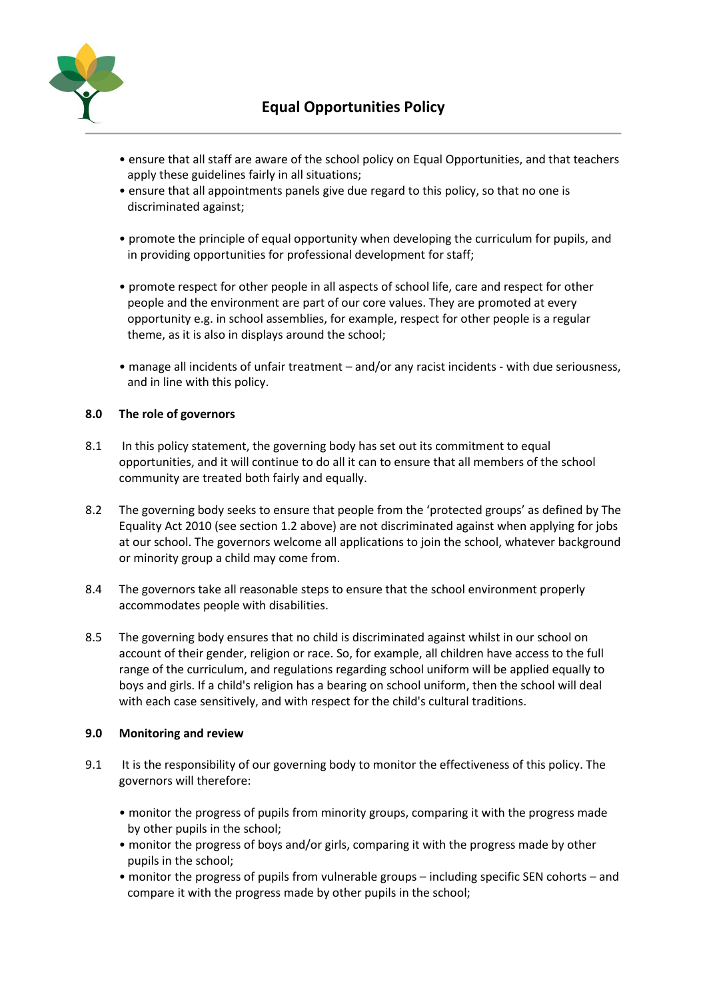

- ensure that all staff are aware of the school policy on Equal Opportunities, and that teachers apply these guidelines fairly in all situations;
- ensure that all appointments panels give due regard to this policy, so that no one is discriminated against;
- promote the principle of equal opportunity when developing the curriculum for pupils, and in providing opportunities for professional development for staff;
- promote respect for other people in all aspects of school life, care and respect for other people and the environment are part of our core values. They are promoted at every opportunity e.g. in school assemblies, for example, respect for other people is a regular theme, as it is also in displays around the school;
- manage all incidents of unfair treatment and/or any racist incidents with due seriousness, and in line with this policy.

### **8.0 The role of governors**

- 8.1 In this policy statement, the governing body has set out its commitment to equal opportunities, and it will continue to do all it can to ensure that all members of the school community are treated both fairly and equally.
- 8.2 The governing body seeks to ensure that people from the 'protected groups' as defined by The Equality Act 2010 (see section 1.2 above) are not discriminated against when applying for jobs at our school. The governors welcome all applications to join the school, whatever background or minority group a child may come from.
- 8.4 The governors take all reasonable steps to ensure that the school environment properly accommodates people with disabilities.
- 8.5 The governing body ensures that no child is discriminated against whilst in our school on account of their gender, religion or race. So, for example, all children have access to the full range of the curriculum, and regulations regarding school uniform will be applied equally to boys and girls. If a child's religion has a bearing on school uniform, then the school will deal with each case sensitively, and with respect for the child's cultural traditions.

#### **9.0 Monitoring and review**

- 9.1 It is the responsibility of our governing body to monitor the effectiveness of this policy. The governors will therefore:
	- monitor the progress of pupils from minority groups, comparing it with the progress made by other pupils in the school;
	- monitor the progress of boys and/or girls, comparing it with the progress made by other pupils in the school;
	- monitor the progress of pupils from vulnerable groups including specific SEN cohorts and compare it with the progress made by other pupils in the school;